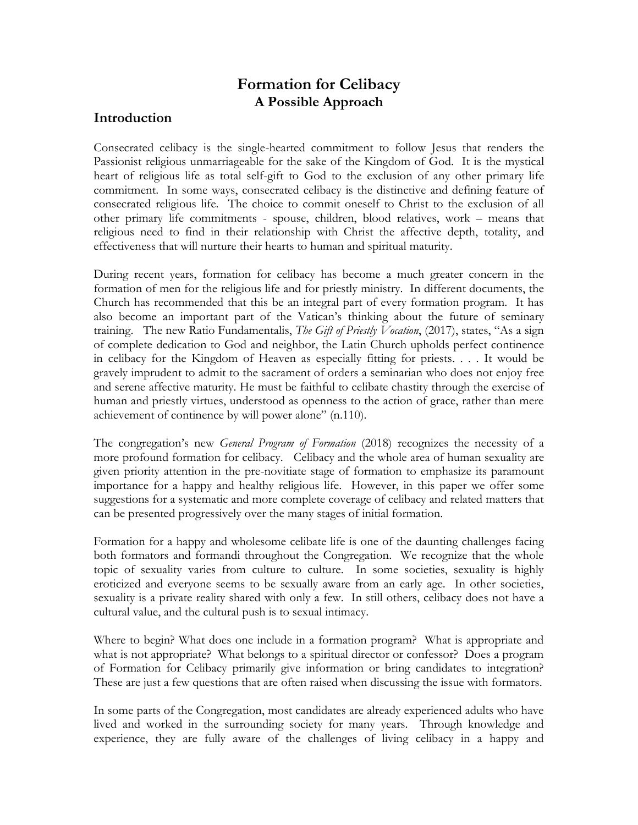# **Formation for Celibacy A Possible Approach**

### **Introduction**

Consecrated celibacy is the single-hearted commitment to follow Jesus that renders the Passionist religious unmarriageable for the sake of the Kingdom of God. It is the mystical heart of religious life as total self-gift to God to the exclusion of any other primary life commitment. In some ways, consecrated celibacy is the distinctive and defining feature of consecrated religious life. The choice to commit oneself to Christ to the exclusion of all other primary life commitments - spouse, children, blood relatives, work – means that religious need to find in their relationship with Christ the affective depth, totality, and effectiveness that will nurture their hearts to human and spiritual maturity.

During recent years, formation for celibacy has become a much greater concern in the formation of men for the religious life and for priestly ministry. In different documents, the Church has recommended that this be an integral part of every formation program. It has also become an important part of the Vatican's thinking about the future of seminary training. The new Ratio Fundamentalis, *The Gift of Priestly Vocation*, (2017), states, "As a sign of complete dedication to God and neighbor, the Latin Church upholds perfect continence in celibacy for the Kingdom of Heaven as especially fitting for priests. . . . It would be gravely imprudent to admit to the sacrament of orders a seminarian who does not enjoy free and serene affective maturity. He must be faithful to celibate chastity through the exercise of human and priestly virtues, understood as openness to the action of grace, rather than mere achievement of continence by will power alone" (n.110).

The congregation's new *General Program of Formation* (2018) recognizes the necessity of a more profound formation for celibacy. Celibacy and the whole area of human sexuality are given priority attention in the pre-novitiate stage of formation to emphasize its paramount importance for a happy and healthy religious life. However, in this paper we offer some suggestions for a systematic and more complete coverage of celibacy and related matters that can be presented progressively over the many stages of initial formation.

Formation for a happy and wholesome celibate life is one of the daunting challenges facing both formators and formandi throughout the Congregation. We recognize that the whole topic of sexuality varies from culture to culture. In some societies, sexuality is highly eroticized and everyone seems to be sexually aware from an early age. In other societies, sexuality is a private reality shared with only a few. In still others, celibacy does not have a cultural value, and the cultural push is to sexual intimacy.

Where to begin? What does one include in a formation program? What is appropriate and what is not appropriate? What belongs to a spiritual director or confessor? Does a program of Formation for Celibacy primarily give information or bring candidates to integration? These are just a few questions that are often raised when discussing the issue with formators.

In some parts of the Congregation, most candidates are already experienced adults who have lived and worked in the surrounding society for many years. Through knowledge and experience, they are fully aware of the challenges of living celibacy in a happy and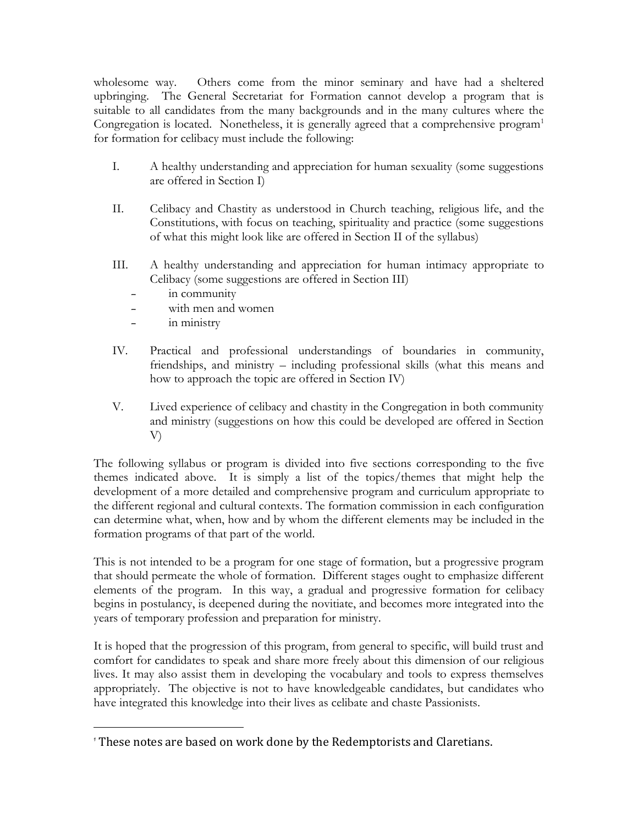wholesome way. Others come from the minor seminary and have had a sheltered upbringing. The General Secretariat for Formation cannot develop a program that is suitable to all candidates from the many backgrounds and in the many cultures where the Congregation is located. Nonetheless, it is generally agreed that a comprehensive program<sup>1</sup> for formation for celibacy must include the following:

- I. A healthy understanding and appreciation for human sexuality (some suggestions are offered in Section I)
- II. Celibacy and Chastity as understood in Church teaching, religious life, and the Constitutions, with focus on teaching, spirituality and practice (some suggestions of what this might look like are offered in Section II of the syllabus)
- III. A healthy understanding and appreciation for human intimacy appropriate to Celibacy (some suggestions are offered in Section III)
	- in community
	- with men and women
	- in ministry
- IV. Practical and professional understandings of boundaries in community, friendships, and ministry – including professional skills (what this means and how to approach the topic are offered in Section IV)
- V. Lived experience of celibacy and chastity in the Congregation in both community and ministry (suggestions on how this could be developed are offered in Section V)

The following syllabus or program is divided into five sections corresponding to the five themes indicated above. It is simply a list of the topics/themes that might help the development of a more detailed and comprehensive program and curriculum appropriate to the different regional and cultural contexts. The formation commission in each configuration can determine what, when, how and by whom the different elements may be included in the formation programs of that part of the world.

This is not intended to be a program for one stage of formation, but a progressive program that should permeate the whole of formation. Different stages ought to emphasize different elements of the program. In this way, a gradual and progressive formation for celibacy begins in postulancy, is deepened during the novitiate, and becomes more integrated into the years of temporary profession and preparation for ministry.

It is hoped that the progression of this program, from general to specific, will build trust and comfort for candidates to speak and share more freely about this dimension of our religious lives. It may also assist them in developing the vocabulary and tools to express themselves appropriately. The objective is not to have knowledgeable candidates, but candidates who have integrated this knowledge into their lives as celibate and chaste Passionists.

<sup>1</sup> These notes are based on work done by the Redemptorists and Claretians.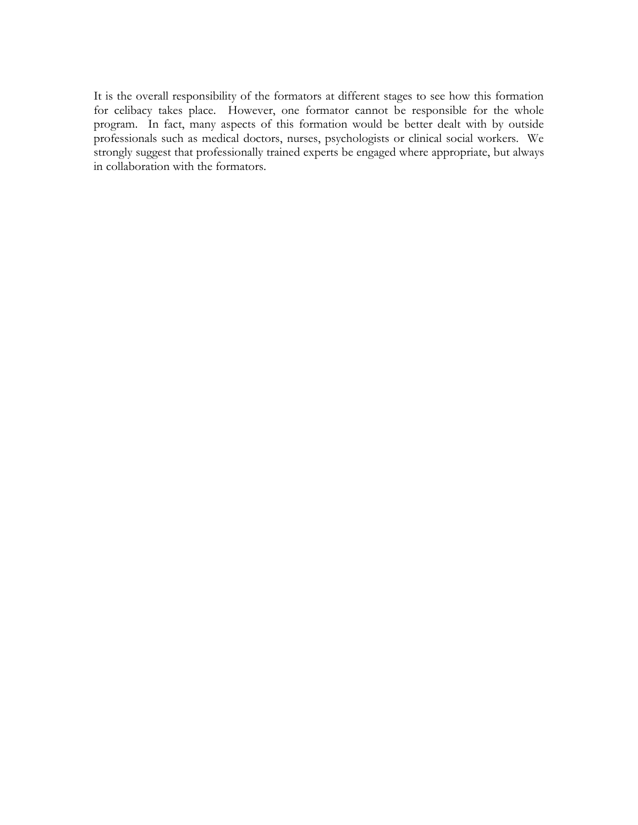It is the overall responsibility of the formators at different stages to see how this formation for celibacy takes place. However, one formator cannot be responsible for the whole program. In fact, many aspects of this formation would be better dealt with by outside professionals such as medical doctors, nurses, psychologists or clinical social workers. We strongly suggest that professionally trained experts be engaged where appropriate, but always in collaboration with the formators.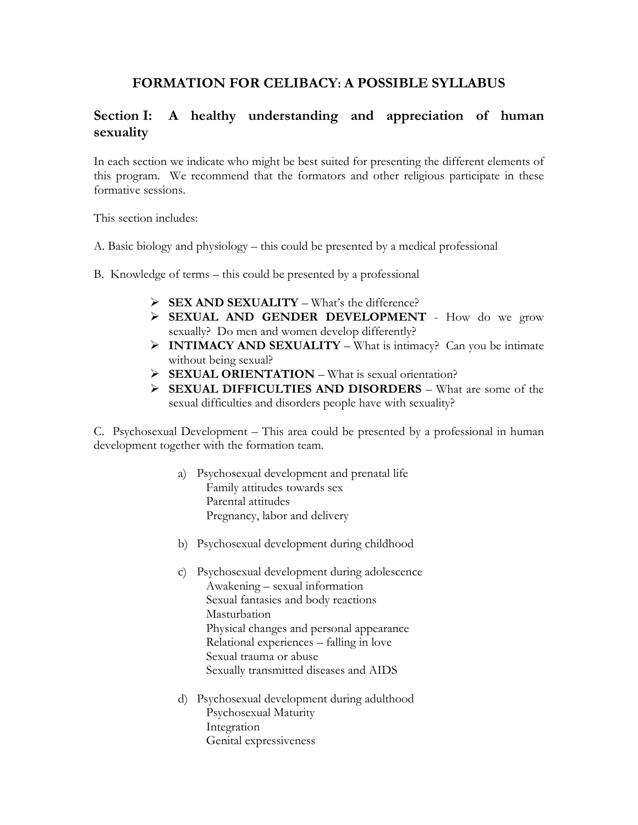# **FORMATION FOR CELIBACY: A POSSIBLE SYLLABUS**

# **Section I: A healthy understanding and appreciation of human sexuality**

In each section we indicate who might be best suited for presenting the different elements of this program. We recommend that the formators and other religious participate in these formative sessions.

This section includes:

- A. Basic biology and physiology this could be presented by a medical professional
- B. Knowledge of terms this could be presented by a professional
	- ➢ **SEX AND SEXUALITY** What's the difference?
	- ➢ **SEXUAL AND GENDER DEVELOPMENT**  How do we grow sexually? Do men and women develop differently?
	- ➢ **INTIMACY AND SEXUALITY** What is intimacy? Can you be intimate without being sexual?
	- ➢ **SEXUAL ORIENTATION** What is sexual orientation?
	- ➢ **SEXUAL DIFFICULTIES AND DISORDERS** What are some of the sexual difficulties and disorders people have with sexuality?

C. Psychosexual Development – This area could be presented by a professional in human development together with the formation team.

- a) Psychosexual development and prenatal life Family attitudes towards sex Parental attitudes Pregnancy, labor and delivery
- b) Psychosexual development during childhood
- c) Psychosexual development during adolescence Awakening – sexual information Sexual fantasies and body reactions Masturbation Physical changes and personal appearance Relational experiences – falling in love Sexual trauma or abuse Sexually transmitted diseases and AIDS
- d) Psychosexual development during adulthood Psychosexual Maturity Integration Genital expressiveness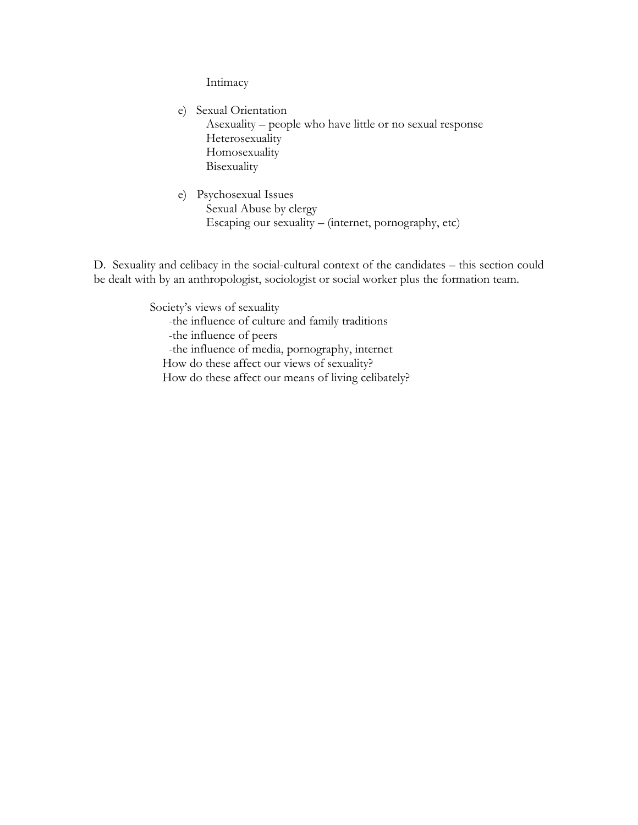Intimacy

 e) Sexual Orientation Asexuality – people who have little or no sexual response Heterosexuality Homosexuality Bisexuality

e) Psychosexual Issues Sexual Abuse by clergy Escaping our sexuality – (internet, pornography, etc)

D. Sexuality and celibacy in the social-cultural context of the candidates – this section could be dealt with by an anthropologist, sociologist or social worker plus the formation team.

> Society's views of sexuality -the influence of culture and family traditions -the influence of peers -the influence of media, pornography, internet How do these affect our views of sexuality? How do these affect our means of living celibately?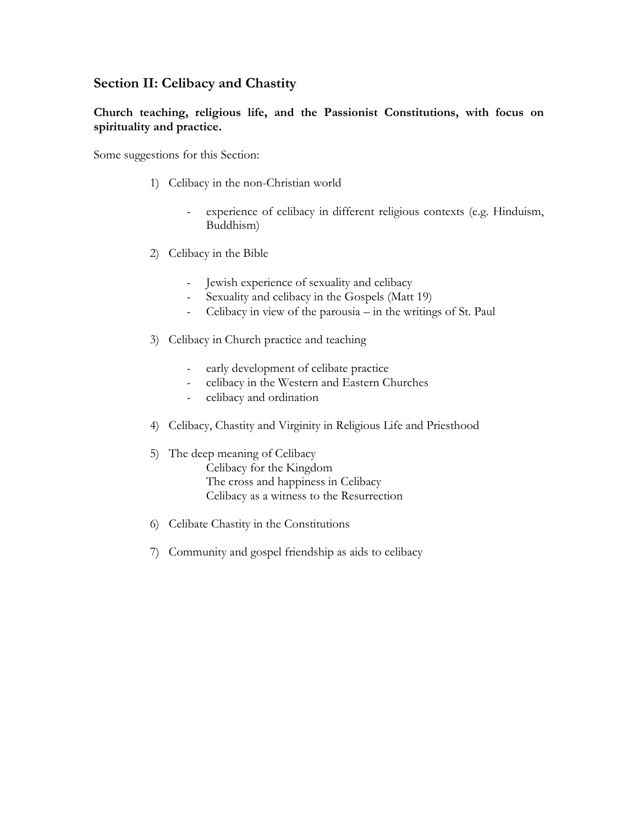### **Section II: Celibacy and Chastity**

#### **Church teaching, religious life, and the Passionist Constitutions, with focus on spirituality and practice.**

Some suggestions for this Section:

- 1) Celibacy in the non-Christian world
	- experience of celibacy in different religious contexts (e.g. Hinduism, Buddhism)
- 2) Celibacy in the Bible
	- Jewish experience of sexuality and celibacy
	- Sexuality and celibacy in the Gospels (Matt 19)
	- Celibacy in view of the parousia in the writings of St. Paul
- 3) Celibacy in Church practice and teaching
	- early development of celibate practice
	- celibacy in the Western and Eastern Churches
	- celibacy and ordination
- 4) Celibacy, Chastity and Virginity in Religious Life and Priesthood
- 5) The deep meaning of Celibacy Celibacy for the Kingdom The cross and happiness in Celibacy Celibacy as a witness to the Resurrection
- 6) Celibate Chastity in the Constitutions
- 7) Community and gospel friendship as aids to celibacy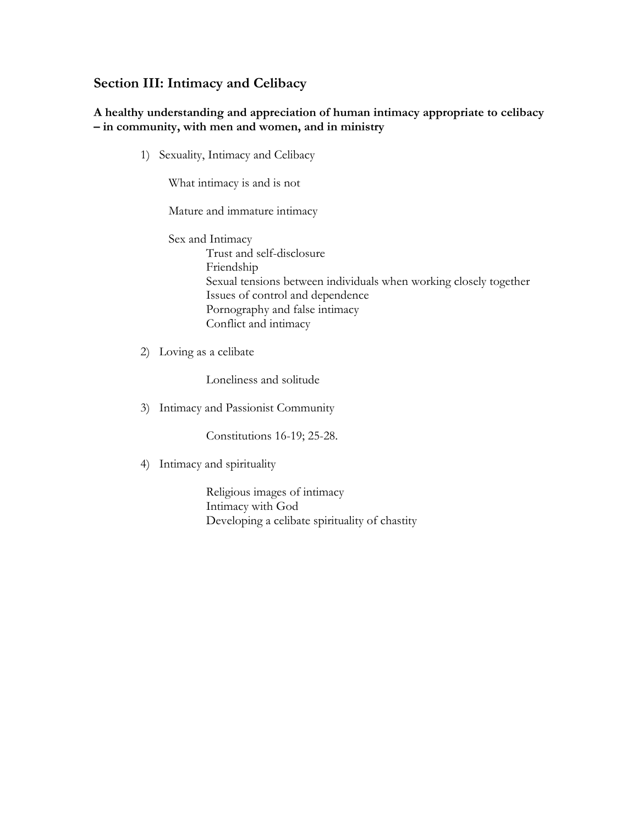### **Section III: Intimacy and Celibacy**

#### **A healthy understanding and appreciation of human intimacy appropriate to celibacy – in community, with men and women, and in ministry**

1) Sexuality, Intimacy and Celibacy

What intimacy is and is not

Mature and immature intimacy

Sex and Intimacy Trust and self-disclosure Friendship Sexual tensions between individuals when working closely together Issues of control and dependence Pornography and false intimacy Conflict and intimacy

2) Loving as a celibate

Loneliness and solitude

3) Intimacy and Passionist Community

Constitutions 16-19; 25-28.

4) Intimacy and spirituality

Religious images of intimacy Intimacy with God Developing a celibate spirituality of chastity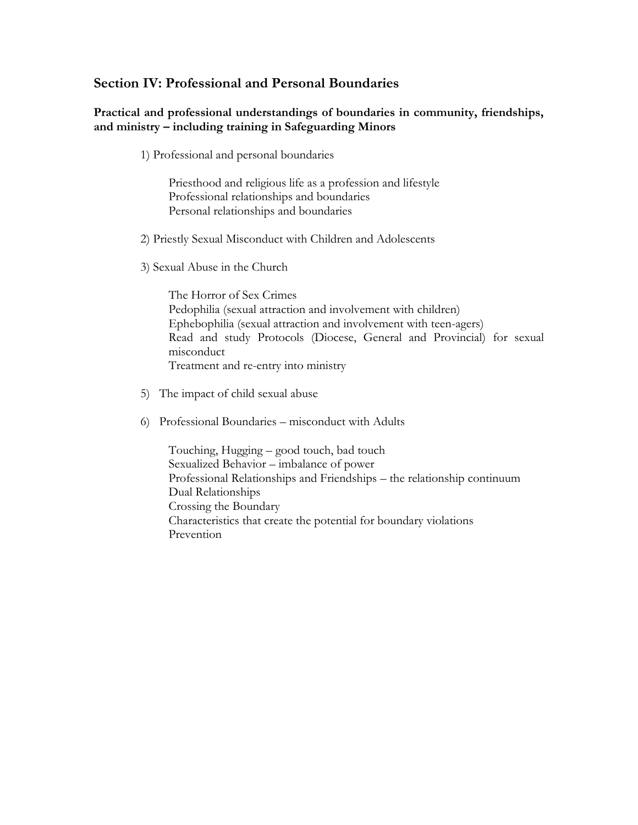### **Section IV: Professional and Personal Boundaries**

#### **Practical and professional understandings of boundaries in community, friendships, and ministry – including training in Safeguarding Minors**

1) Professional and personal boundaries

Priesthood and religious life as a profession and lifestyle Professional relationships and boundaries Personal relationships and boundaries

- 2) Priestly Sexual Misconduct with Children and Adolescents
- 3) Sexual Abuse in the Church

The Horror of Sex Crimes Pedophilia (sexual attraction and involvement with children) Ephebophilia (sexual attraction and involvement with teen-agers) Read and study Protocols (Diocese, General and Provincial) for sexual misconduct Treatment and re-entry into ministry

- 5) The impact of child sexual abuse
- 6) Professional Boundaries misconduct with Adults

Touching, Hugging – good touch, bad touch Sexualized Behavior – imbalance of power Professional Relationships and Friendships – the relationship continuum Dual Relationships Crossing the Boundary Characteristics that create the potential for boundary violations Prevention